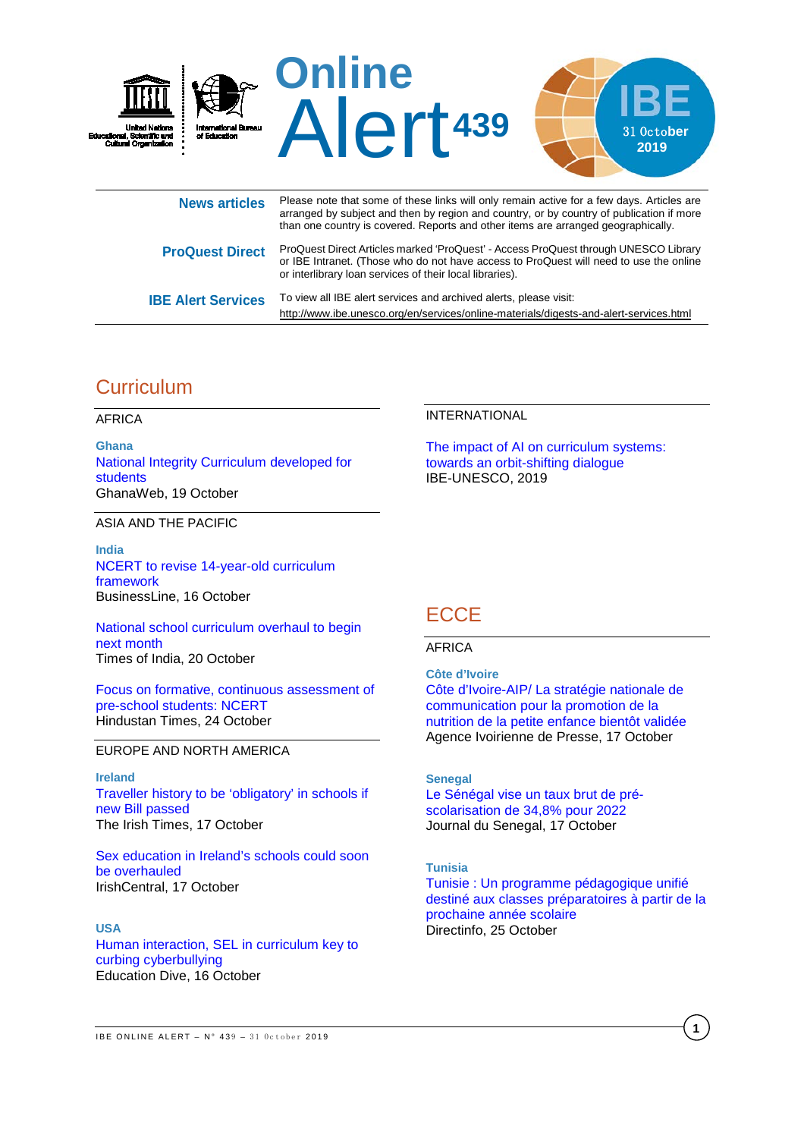

|                           | or IBE Intranet. (Those who do not have access to ProQuest will need to use the online<br>or interlibrary loan services of their local libraries). |
|---------------------------|----------------------------------------------------------------------------------------------------------------------------------------------------|
| <b>IBE Alert Services</b> | To view all IBE alert services and archived alerts, please visit:                                                                                  |
|                           | http://www.ibe.unesco.org/en/services/online-materials/digests-and-alert-services.html                                                             |

# **Curriculum**

AFRICA

**Ghana** [National Integrity Curriculum developed for](https://www.ghanaweb.com/GhanaHomePage/NewsArchive/National-Integrity-Curriculum-developed-for-students-791145)  [students](https://www.ghanaweb.com/GhanaHomePage/NewsArchive/National-Integrity-Curriculum-developed-for-students-791145) GhanaWeb, 19 October

ASIA AND THE PACIFIC

**India** [NCERT to revise 14-year-old curriculum](https://www.thehindubusinessline.com/news/education/ncert-to-revise-14-year-old-curriculum-framework/article29705567.ece)  [framework](https://www.thehindubusinessline.com/news/education/ncert-to-revise-14-year-old-curriculum-framework/article29705567.ece) BusinessLine, 16 October

[National school curriculum overhaul to begin](https://timesofindia.indiatimes.com/india/national-school-curriculum-overhaul-to-begin-next-month/articleshow/71669074.cms)  [next month](https://timesofindia.indiatimes.com/india/national-school-curriculum-overhaul-to-begin-next-month/articleshow/71669074.cms)  Times of India, 20 October

[Focus on formative, continuous assessment of](https://www.hindustantimes.com/cities/focus-on-formative-continuous-assessment-of-pre-school-students-ncert/story-O2Q5tYc16QBeH1nPyAzaGO.html)  [pre-school students: NCERT](https://www.hindustantimes.com/cities/focus-on-formative-continuous-assessment-of-pre-school-students-ncert/story-O2Q5tYc16QBeH1nPyAzaGO.html)  Hindustan Times, 24 October

### EUROPE AND NORTH AMERICA

**Ireland** [Traveller history to be 'obligatory' in schools if](https://www.irishtimes.com/news/education/traveller-history-to-be-obligatory-in-schools-if-new-bill-passed-1.4053016)  [new Bill passed](https://www.irishtimes.com/news/education/traveller-history-to-be-obligatory-in-schools-if-new-bill-passed-1.4053016) The Irish Times, 17 October

[Sex education in Ireland's schools could soon](https://www.irishcentral.com/news/sex-education-ireland-schools)  [be overhauled](https://www.irishcentral.com/news/sex-education-ireland-schools) IrishCentral, 17 October

**USA**

[Human interaction, SEL in curriculum key to](https://www.educationdive.com/news/human-interaction-sel-in-curriculum-key-to-curbing-cyberbullying/564451/)  [curbing cyberbullying](https://www.educationdive.com/news/human-interaction-sel-in-curriculum-key-to-curbing-cyberbullying/564451/) Education Dive, 16 October

#### INTERNATIONAL

[The impact of AI on curriculum systems:](https://unesdoc.unesco.org/ark:/48223/pf0000371258?posInSet=18&queryId=N-f4834af4-2dca-4ed6-8112-89706daa5ec6)  [towards an orbit-shifting dialogue](https://unesdoc.unesco.org/ark:/48223/pf0000371258?posInSet=18&queryId=N-f4834af4-2dca-4ed6-8112-89706daa5ec6) IBE-UNESCO, 2019

# **ECCE**

### AFRICA

**Côte d'Ivoire** [Côte d'Ivoire-AIP/ La stratégie nationale de](https://aip.ci/cote-divoire-aip-la-strategie-nationale-de-communication-pour-la-promotion-de-la-nutrition-de-la-petite-enfance-bientot-validee/)  [communication pour la promotion de la](https://aip.ci/cote-divoire-aip-la-strategie-nationale-de-communication-pour-la-promotion-de-la-nutrition-de-la-petite-enfance-bientot-validee/)  [nutrition de la petite enfance bientôt validée](https://aip.ci/cote-divoire-aip-la-strategie-nationale-de-communication-pour-la-promotion-de-la-nutrition-de-la-petite-enfance-bientot-validee/) Agence Ivoirienne de Presse, 17 October

### **Senegal**

[Le Sénégal vise un taux brut de pré](https://www.journaldusenegal.com/le-senegal-vise-un-taux-brut-de-pre-scolarisation-de-348-pour-2022/)[scolarisation de 34,8% pour 2022](https://www.journaldusenegal.com/le-senegal-vise-un-taux-brut-de-pre-scolarisation-de-348-pour-2022/) Journal du Senegal, 17 October

#### **Tunisia**

[Tunisie : Un programme pédagogique unifié](https://www.leseco.ma/maroc/81255-chambre-des-representants-le-groupe-de-travail-sur-l-enseignement-prescolaire-se-reunit-avec-les-aref.html)  [destiné aux classes préparatoires à partir de la](https://www.leseco.ma/maroc/81255-chambre-des-representants-le-groupe-de-travail-sur-l-enseignement-prescolaire-se-reunit-avec-les-aref.html)  [prochaine année scolaire](https://www.leseco.ma/maroc/81255-chambre-des-representants-le-groupe-de-travail-sur-l-enseignement-prescolaire-se-reunit-avec-les-aref.html) Directinfo, 25 October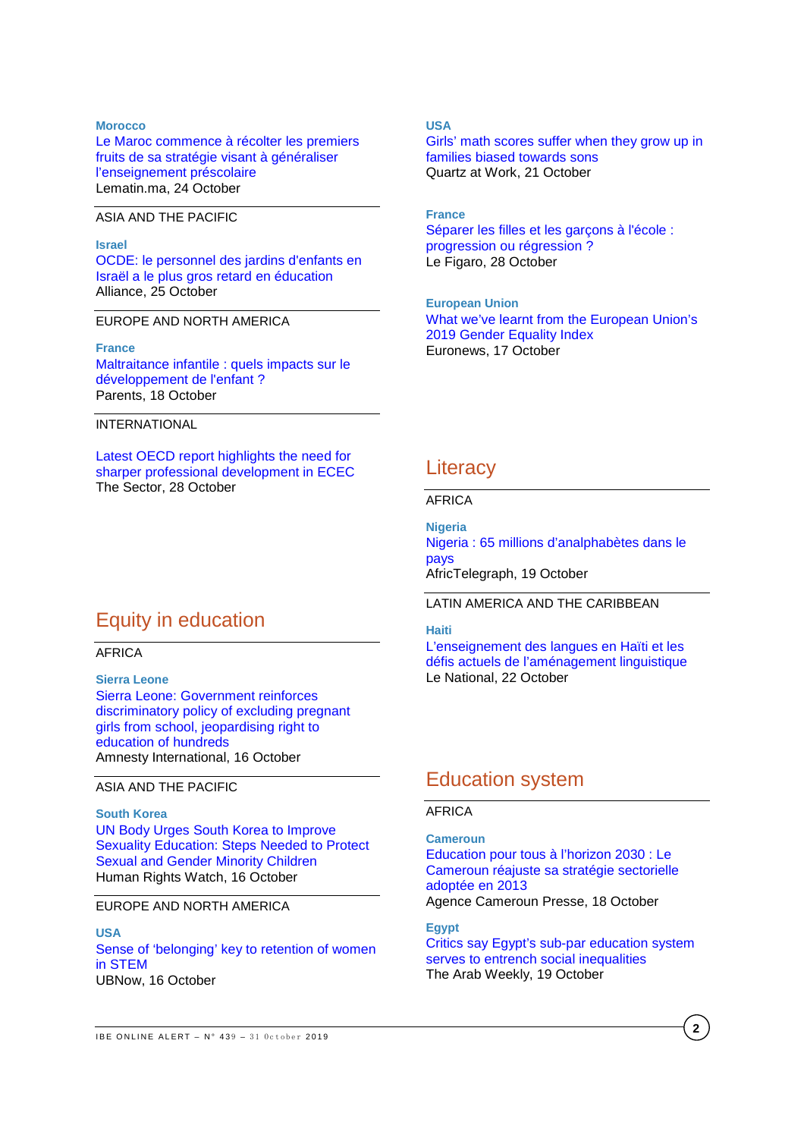#### **Morocco**

[Le Maroc commence à récolter les premiers](https://lematin.ma/journal/2019/maroc-commence-recolter-premiers-fruits-strategie-visant-generaliser-lenseignement-prescolaire/325189.html)  [fruits de sa stratégie visant à généraliser](https://lematin.ma/journal/2019/maroc-commence-recolter-premiers-fruits-strategie-visant-generaliser-lenseignement-prescolaire/325189.html)  [l'enseignement préscolaire](https://lematin.ma/journal/2019/maroc-commence-recolter-premiers-fruits-strategie-visant-generaliser-lenseignement-prescolaire/325189.html) Lematin.ma, 24 October

### ASIA AND THE PACIFIC

#### **Israel**

[OCDE: le personnel des jardins d'enfants en](http://www1.alliancefr.com/actualites/ocde-le-personnel-des-jardins-denfants-en-israel-a-le-plus-gros-retard-en-education-6081519)  [Israël a le plus gros retard en éducation](http://www1.alliancefr.com/actualites/ocde-le-personnel-des-jardins-denfants-en-israel-a-le-plus-gros-retard-en-education-6081519) Alliance, 25 October

### EUROPE AND NORTH AMERICA

#### **France**

[Maltraitance infantile : quels impacts sur le](https://www.parents.fr/actualites/enfant/maltraitance-infantile-quels-impacts-sur-le-developpement-de-lenfant-427623)  [développement de l'enfant ?](https://www.parents.fr/actualites/enfant/maltraitance-infantile-quels-impacts-sur-le-developpement-de-lenfant-427623) Parents, 18 October

#### INTERNATIONAL

[Latest OECD report highlights the need for](https://thesector.com.au/2019/10/28/latest-oecd-report-highlights-the-need-for-sharper-professional-development-in-ecec/)  [sharper professional development in ECEC](https://thesector.com.au/2019/10/28/latest-oecd-report-highlights-the-need-for-sharper-professional-development-in-ecec/) The Sector, 28 October

# Equity in education

#### AFRICA

**Sierra Leone** [Sierra Leone: Government reinforces](https://www.amnesty.org/en/latest/news/2019/10/sierra-leone-government-reinforces-discriminatory-policy-of-excluding-pregnant-girls/)  [discriminatory policy of excluding pregnant](https://www.amnesty.org/en/latest/news/2019/10/sierra-leone-government-reinforces-discriminatory-policy-of-excluding-pregnant-girls/)  [girls from school, jeopardising right to](https://www.amnesty.org/en/latest/news/2019/10/sierra-leone-government-reinforces-discriminatory-policy-of-excluding-pregnant-girls/)  [education of hundreds](https://www.amnesty.org/en/latest/news/2019/10/sierra-leone-government-reinforces-discriminatory-policy-of-excluding-pregnant-girls/) Amnesty International, 16 October

### ASIA AND THE PACIFIC

#### **South Korea**

[UN Body Urges South Korea to Improve](https://www.hrw.org/news/2019/10/16/un-body-urges-south-korea-improve-sexuality-education)  [Sexuality Education: Steps Needed to Protect](https://www.hrw.org/news/2019/10/16/un-body-urges-south-korea-improve-sexuality-education)  [Sexual and Gender Minority Children](https://www.hrw.org/news/2019/10/16/un-body-urges-south-korea-improve-sexuality-education) Human Rights Watch, 16 October

#### EUROPE AND NORTH AMERICA

**USA** [Sense of 'belonging' key to retention of women](http://www.buffalo.edu/ubnow/stories/2019/10/karalis-noel-stem.html)  [in STEM](http://www.buffalo.edu/ubnow/stories/2019/10/karalis-noel-stem.html) UBNow, 16 October

### **USA**

[Girls' math scores suffer when they grow up in](https://qz.com/work/1728292/how-parental-gender-bias-affects-girls-performance-in-math/)  [families biased towards sons](https://qz.com/work/1728292/how-parental-gender-bias-affects-girls-performance-in-math/) Quartz at Work, 21 October

### **France**

[Séparer les filles et les garçons à l'école :](http://madame.lefigaro.fr/societe/non-mixite-a-lecole-le-pour-et-le-contre-education-sexualite-181019-167585)  [progression ou régression ?](http://madame.lefigaro.fr/societe/non-mixite-a-lecole-le-pour-et-le-contre-education-sexualite-181019-167585) Le Figaro, 28 October

**European Union** [What we've learnt from the European Union's](https://www.euronews.com/2019/10/17/what-we-ve-learnt-from-the-european-union-s-2019-gender-equality-index)  [2019 Gender Equality Index](https://www.euronews.com/2019/10/17/what-we-ve-learnt-from-the-european-union-s-2019-gender-equality-index) Euronews, 17 October

# **Literacy**

#### AFRICA

**Nigeria** [Nigeria : 65 millions d'analphabètes dans le](https://africtelegraph.com/nigeria-65-millions-danalphabetes-dans-le-pays/)  [pays](https://africtelegraph.com/nigeria-65-millions-danalphabetes-dans-le-pays/) AfricTelegraph, 19 October

#### LATIN AMERICA AND THE CARIBBEAN

### **Haiti**

[L'enseignement des langues en Haïti et les](http://lenational.org/post_free.php?elif=1_CONTENUE/societes&rebmun=3482)  [défis actuels de l'aménagement linguistique](http://lenational.org/post_free.php?elif=1_CONTENUE/societes&rebmun=3482) Le National, 22 October

# Education system

## AFRICA

**Cameroun** [Education pour tous à l'horizon 2030 : Le](https://agencecamerounpresse.com/education/education-pour-tous-%C3%A0-l%E2%80%99horizon-2030-le-cameroun-r%C3%A9ajuste-sa-strat%C3%A9gie-sectorielle-adopt%C3%A9e-en-2013.html)  [Cameroun réajuste sa stratégie sectorielle](https://agencecamerounpresse.com/education/education-pour-tous-%C3%A0-l%E2%80%99horizon-2030-le-cameroun-r%C3%A9ajuste-sa-strat%C3%A9gie-sectorielle-adopt%C3%A9e-en-2013.html)  [adoptée en 2013](https://agencecamerounpresse.com/education/education-pour-tous-%C3%A0-l%E2%80%99horizon-2030-le-cameroun-r%C3%A9ajuste-sa-strat%C3%A9gie-sectorielle-adopt%C3%A9e-en-2013.html) Agence Cameroun Presse, 18 October

**Egypt**

[Critics say Egypt's sub-par education system](https://thearabweekly.com/critics-say-egypts-sub-par-education-system-serves-entrench-social-inequalities)  [serves to entrench social inequalities](https://thearabweekly.com/critics-say-egypts-sub-par-education-system-serves-entrench-social-inequalities) The Arab Weekly, 19 October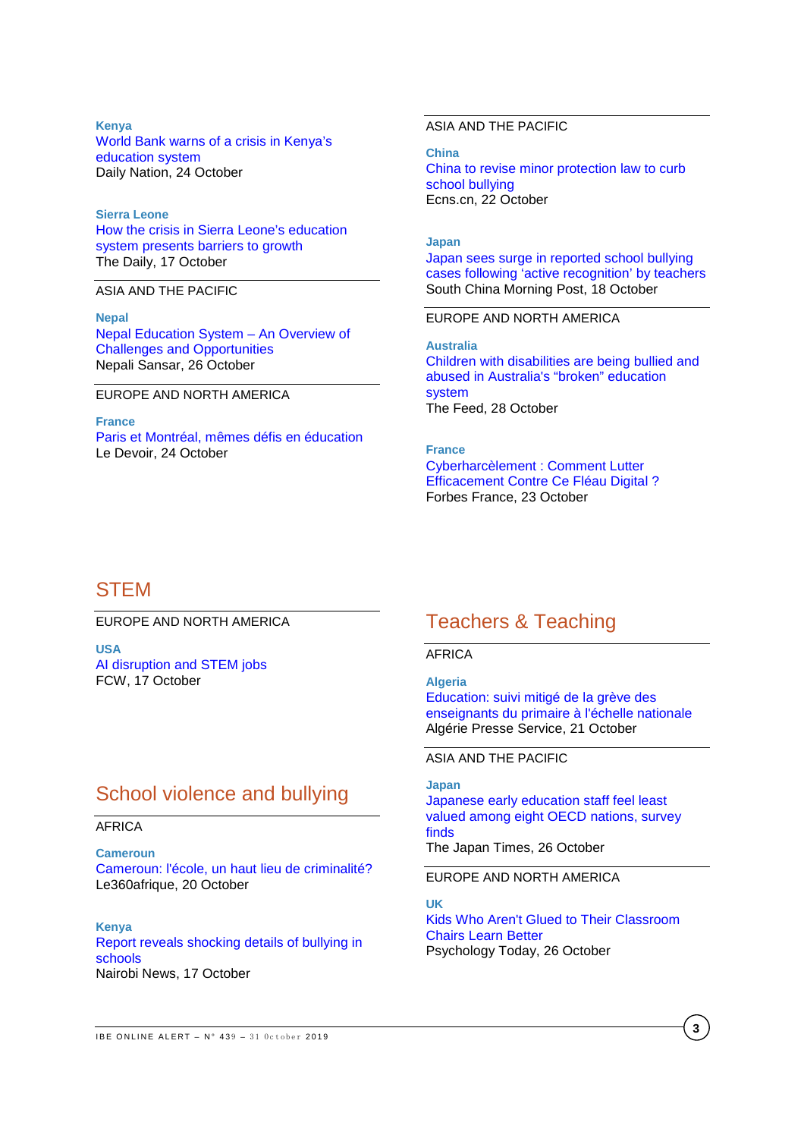**Kenya** [World Bank warns of a crisis in Kenya's](https://www.nation.co.ke/lifestyle/World-Bank-warns-of-crisis-in-Kenya-education-system/1190-5322820-format-xhtml-dhyats/index.html)  [education system](https://www.nation.co.ke/lifestyle/World-Bank-warns-of-crisis-in-Kenya-education-system/1190-5322820-format-xhtml-dhyats/index.html) Daily Nation, 24 October

**Sierra Leone** [How the crisis in Sierra Leone's education](http://www.dailyuw.com/opinion/columnists/article_9da85868-f103-11e9-b136-9f5e38f114ac.html)  [system presents barriers to growth](http://www.dailyuw.com/opinion/columnists/article_9da85868-f103-11e9-b136-9f5e38f114ac.html) The Daily, 17 October

ASIA AND THE PACIFIC

**Nepal** [Nepal Education System –](https://www.nepalisansar.com/education/nepal-education-system-an-overview-of-challenges-and-opportunities/) An Overview of [Challenges and Opportunities](https://www.nepalisansar.com/education/nepal-education-system-an-overview-of-challenges-and-opportunities/) Nepali Sansar, 26 October

EUROPE AND NORTH AMERICA

**France** [Paris et Montréal, mêmes défis en éducation](https://www.ledevoir.com/societe/education/565418/a-paris-comme-a-montreal-agir-tot-pour-les-eleves) Le Devoir, 24 October

### ASIA AND THE PACIFIC

**China** [China to revise minor protection law to curb](http://www.ecns.cn/news/2019-10-22/detail-ifzpzfnq8045664.shtml)  [school bullying](http://www.ecns.cn/news/2019-10-22/detail-ifzpzfnq8045664.shtml) Ecns.cn, 22 October

#### **Japan**

[Japan sees surge in reported school bullying](https://www.scmp.com/news/asia/east-asia/article/3033449/japan-sees-surge-reported-school-bullying-cases-following)  [cases following 'active recognition' by teachers](https://www.scmp.com/news/asia/east-asia/article/3033449/japan-sees-surge-reported-school-bullying-cases-following) South China Morning Post, 18 October

### EUROPE AND NORTH AMERICA

**Australia** [Children with disabilities are being bullied and](https://www.sbs.com.au/news/the-feed/children-with-disabilities-are-being-bullied-and-abused-in-australia-s-broken-education-system)  [abused in Australia's "broken"](https://www.sbs.com.au/news/the-feed/children-with-disabilities-are-being-bullied-and-abused-in-australia-s-broken-education-system) education [system](https://www.sbs.com.au/news/the-feed/children-with-disabilities-are-being-bullied-and-abused-in-australia-s-broken-education-system) The Feed, 28 October

**France** [Cyberharcèlement : Comment Lutter](https://www.forbes.fr/technologie/cyberharcelement-comment-lutter-efficacement-contre-ce-fleau-digital/?cn-reloaded=1)  [Efficacement Contre Ce Fléau Digital ?](https://www.forbes.fr/technologie/cyberharcelement-comment-lutter-efficacement-contre-ce-fleau-digital/?cn-reloaded=1) Forbes France, 23 October

# **STEM**

EUROPE AND NORTH AMERICA

**USA** [AI disruption and STEM jobs](https://fcw.com/articles/2019/10/17/ai-kent-hurd-workforce.aspx) FCW, 17 October

# School violence and bullying

#### AFRICA

**Cameroun** [Cameroun: l'école, un haut lieu de criminalité?](http://afrique.le360.ma/autres-pays/societe/2019/10/20/28271-cameroun-lecole-un-haut-lieu-de-criminalite-28271) Le360afrique, 20 October

**Kenya** [Report reveals shocking details of bullying in](https://en.unesco.org/news/transforming-literacy-training-community-learning-centre-managers-nepal)  [schools](https://en.unesco.org/news/transforming-literacy-training-community-learning-centre-managers-nepal) Nairobi News, 17 October

# Teachers & Teaching

AFRICA

**Algeria**

[Education: suivi mitigé de la grève des](https://en.unesco.org/news/giving-teachers-voice-their-professional-development-zambia)  [enseignants du primaire à l'échelle nationale](https://en.unesco.org/news/giving-teachers-voice-their-professional-development-zambia) Algérie Presse Service, 21 October

ASIA AND THE PACIFIC

#### **Japan**

[Japanese early education staff feel least](https://www.japantimes.co.jp/news/2019/10/26/national/social-issues/japan-early-education-staff-feel-least-valued-among-eight-oecd-nations-survey-finds/#.XbhN_ExFw08)  [valued among eight OECD nations, survey](https://www.japantimes.co.jp/news/2019/10/26/national/social-issues/japan-early-education-staff-feel-least-valued-among-eight-oecd-nations-survey-finds/#.XbhN_ExFw08)  [finds](https://www.japantimes.co.jp/news/2019/10/26/national/social-issues/japan-early-education-staff-feel-least-valued-among-eight-oecd-nations-survey-finds/#.XbhN_ExFw08) The Japan Times, 26 October

EUROPE AND NORTH AMERICA

**UK** [Kids Who Aren't Glued to Their Classroom](https://www.psychologytoday.com/us/blog/the-athletes-way/201910/kids-who-arent-glued-their-classroom-chairs-learn-better)  [Chairs Learn Better](https://www.psychologytoday.com/us/blog/the-athletes-way/201910/kids-who-arent-glued-their-classroom-chairs-learn-better) Psychology Today, 26 October